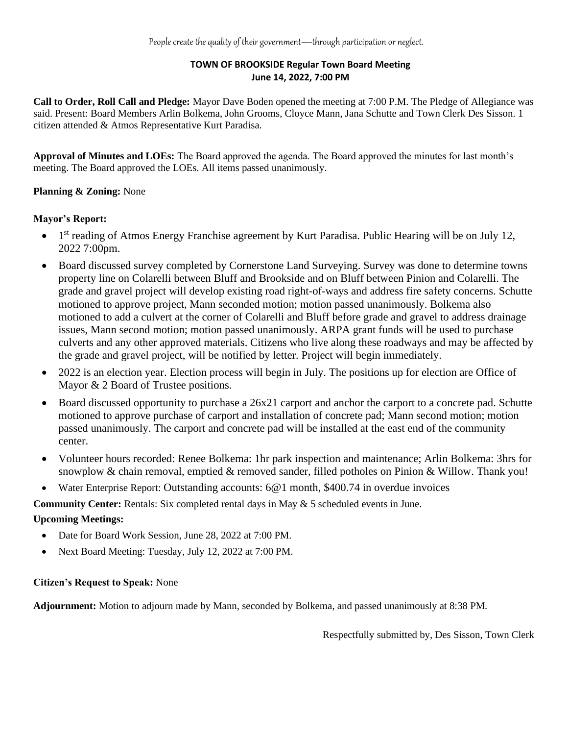# **TOWN OF BROOKSIDE Regular Town Board Meeting June 14, 2022, 7:00 PM**

**Call to Order, Roll Call and Pledge:** Mayor Dave Boden opened the meeting at 7:00 P.M. The Pledge of Allegiance was said. Present: Board Members Arlin Bolkema, John Grooms, Cloyce Mann, Jana Schutte and Town Clerk Des Sisson. 1 citizen attended & Atmos Representative Kurt Paradisa.

**Approval of Minutes and LOEs:** The Board approved the agenda. The Board approved the minutes for last month's meeting. The Board approved the LOEs. All items passed unanimously.

# **Planning & Zoning:** None

## **Mayor's Report:**

- $\bullet$ 1<sup>st</sup> reading of Atmos Energy Franchise agreement by Kurt Paradisa. Public Hearing will be on July 12, 2022 7:00pm.
- Board discussed survey completed by Cornerstone Land Surveying. Survey was done to determine towns property line on Colarelli between Bluff and Brookside and on Bluff between Pinion and Colarelli. The grade and gravel project will develop existing road right-of-ways and address fire safety concerns. Schutte motioned to approve project, Mann seconded motion; motion passed unanimously. Bolkema also motioned to add a culvert at the corner of Colarelli and Bluff before grade and gravel to address drainage issues, Mann second motion; motion passed unanimously. ARPA grant funds will be used to purchase culverts and any other approved materials. Citizens who live along these roadways and may be affected by the grade and gravel project, will be notified by letter. Project will begin immediately.
- 2022 is an election year. Election process will begin in July. The positions up for election are Office of Mayor & 2 Board of Trustee positions.
- Board discussed opportunity to purchase a 26x21 carport and anchor the carport to a concrete pad. Schutte motioned to approve purchase of carport and installation of concrete pad; Mann second motion; motion passed unanimously. The carport and concrete pad will be installed at the east end of the community center.
- Volunteer hours recorded: Renee Bolkema: 1hr park inspection and maintenance; Arlin Bolkema: 3hrs for snowplow & chain removal, emptied & removed sander, filled potholes on Pinion & Willow. Thank you!
- Water Enterprise Report: Outstanding accounts: 6@1 month, \$400.74 in overdue invoices

**Community Center:** Rentals: Six completed rental days in May & 5 scheduled events in June.

## **Upcoming Meetings:**

- Date for Board Work Session, June 28, 2022 at 7:00 PM.
- Next Board Meeting: Tuesday, July 12, 2022 at 7:00 PM.

## **Citizen's Request to Speak:** None

**Adjournment:** Motion to adjourn made by Mann, seconded by Bolkema, and passed unanimously at 8:38 PM.

Respectfully submitted by, Des Sisson, Town Clerk